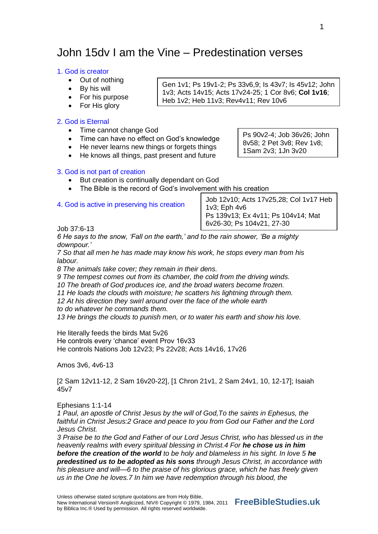# John 15dv I am the Vine – Predestination verses

# 1. God is creator

- Out of nothing
- By his will
- For his purpose
- For His glory

# 2. God is Eternal

- Time cannot change God
- Time can have no effect on God's knowledge
- He never learns new things or forgets things
- He knows all things, past present and future

Ps 90v2-4; Job 36v26; John 8v58; 2 Pet 3v8; Rev 1v8; 1Sam 2v3; 1Jn 3v20

Gen 1v1; Ps 19v1-2; Ps 33v6,9; Is 43v7; Is 45v12; John 1v3; Acts 14v15; Acts 17v24-25; 1 Cor 8v6; **Col 1v16**;

Heb 1v2; Heb 11v3; Rev4v11; Rev 10v6

# 3. God is not part of creation

- But creation is continually dependant on God
- The Bible is the record of God's involvement with his creation

# 4. God is active in preserving his creation

Job 12v10; Acts 17v25,28; Col 1v17 Heb 1v3; Eph 4v6 Ps 139v13; Ex 4v11; Ps 104v14; Mat 6v26-30; Ps 104v21, 27-30

Job 37:6-13

*6 He says to the snow, 'Fall on the earth,' and to the rain shower, 'Be a mighty downpour.'*

*7 So that all men he has made may know his work, he stops every man from his labour.*

*8 The animals take cover; they remain in their dens.*

*9 The tempest comes out from its chamber, the cold from the driving winds.*

*10 The breath of God produces ice, and the broad waters become frozen.*

*11 He loads the clouds with moisture; he scatters his lightning through them.*

*12 At his direction they swirl around over the face of the whole earth*

*to do whatever he commands them.*

*13 He brings the clouds to punish men, or to water his earth and show his love.*

He literally feeds the birds Mat 5v26 He controls every 'chance' event Prov 16v33 He controls Nations Job 12v23; Ps 22v28; Acts 14v16, 17v26

Amos 3v6, 4v6-13

[2 Sam 12v11-12, 2 Sam 16v20-22], [1 Chron 21v1, 2 Sam 24v1, 10, 12-17]; Isaiah 45v7

Ephesians 1:1-14

*1 Paul, an apostle of Christ Jesus by the will of God,To the saints in Ephesus, the faithful in Christ Jesus:2 Grace and peace to you from God our Father and the Lord Jesus Christ.*

*3 Praise be to the God and Father of our Lord Jesus Christ, who has blessed us in the heavenly realms with every spiritual blessing in Christ.4 For he chose us in him before the creation of the world to be holy and blameless in his sight. In love 5 he predestined us to be adopted as his sons through Jesus Christ, in accordance with his pleasure and will—6 to the praise of his glorious grace, which he has freely given us in the One he loves.7 In him we have redemption through his blood, the*